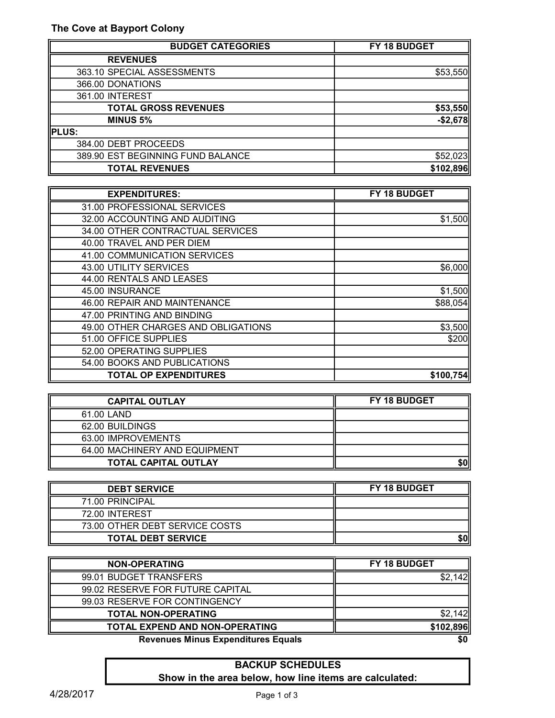| <b>BUDGET CATEGORIES</b>           | FY 18 BUDGET |  |
|------------------------------------|--------------|--|
| <b>REVENUES</b>                    |              |  |
| 363.10 SPECIAL ASSESSMENTS         | \$53,550     |  |
| 366.00 DONATIONS                   |              |  |
| 361.00 INTEREST                    |              |  |
| <b>TOTAL GROSS REVENUES</b>        | \$53,550     |  |
| <b>MINUS 5%</b>                    | $-$ \$2,678  |  |
| PLUS:                              |              |  |
| 384.00 DEBT PROCEEDS               |              |  |
| 389.90 EST BEGINNING FUND BALANCE  | \$52,023     |  |
| <b>TOTAL REVENUES</b><br>\$102,896 |              |  |

| <b>EXPENDITURES:</b>                | FY 18 BUDGET |  |
|-------------------------------------|--------------|--|
| 31.00 PROFESSIONAL SERVICES         |              |  |
| 32.00 ACCOUNTING AND AUDITING       | \$1,500      |  |
| 34.00 OTHER CONTRACTUAL SERVICES    |              |  |
| 40.00 TRAVEL AND PER DIEM           |              |  |
| 41.00 COMMUNICATION SERVICES        |              |  |
| 43.00 UTILITY SERVICES              | \$6,000      |  |
| 44.00 RENTALS AND LEASES            |              |  |
| 45.00 INSURANCE                     | \$1,500      |  |
| 46.00 REPAIR AND MAINTENANCE        | \$88,054     |  |
| 47.00 PRINTING AND BINDING          |              |  |
| 49.00 OTHER CHARGES AND OBLIGATIONS | \$3,500      |  |
| 51.00 OFFICE SUPPLIES               | \$200        |  |
| 52.00 OPERATING SUPPLIES            |              |  |
| 54.00 BOOKS AND PUBLICATIONS        |              |  |
| <b>TOTAL OP EXPENDITURES</b>        | \$100,754    |  |

| <b>CAPITAL OUTLAY</b>         | FY 18 BUDGET |  |
|-------------------------------|--------------|--|
| 61.00 LAND                    |              |  |
| 62.00 BUILDINGS               |              |  |
| 63.00 IMPROVEMENTS            |              |  |
| 64.00 MACHINERY AND EQUIPMENT |              |  |
| <b>TOTAL CAPITAL OUTLAY</b>   |              |  |

| <b>DEBT SERVICE</b>            | <b>FY 18 BUDGET</b> |  |
|--------------------------------|---------------------|--|
| 71.00 PRINCIPAL                |                     |  |
| 72.00 INTEREST                 |                     |  |
| 73.00 OTHER DEBT SERVICE COSTS |                     |  |
| <b>TOTAL DEBT SERVICE</b>      | \$0!                |  |

| <b>NON-OPERATING</b>                      | <b>FY 18 BUDGET</b> |  |
|-------------------------------------------|---------------------|--|
| 99.01 BUDGET TRANSFERS                    | 1421<br>\$2.        |  |
| 99.02 RESERVE FOR FUTURE CAPITAL          |                     |  |
| 99.03 RESERVE FOR CONTINGENCY             |                     |  |
| <b>TOTAL NON-OPERATING</b>                | \$2,142             |  |
| TOTAL EXPEND AND NON-OPERATING            | \$102,896           |  |
| <b>Povonuge Minue Exponditures Equals</b> | ¢Λ                  |  |

Revenues Minus Expenditures Equals  $\sim$ 

## BACKUP SCHEDULES Show in the area below, how line items are calculated: